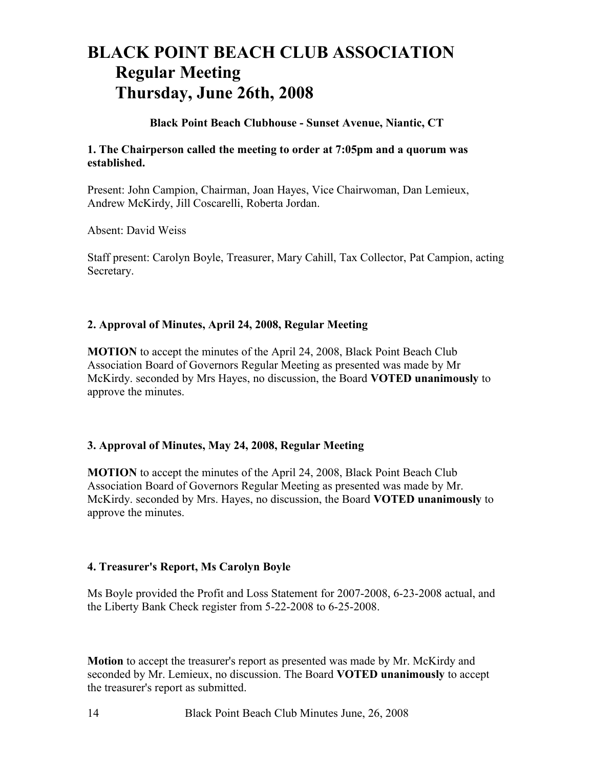# **BLACK POINT BEACH CLUB ASSOCIATION Regular Meeting Thursday, June 26th, 2008**

#### **Black Point Beach Clubhouse - Sunset Avenue, Niantic, CT**

#### **1. The Chairperson called the meeting to order at 7:05pm and a quorum was established.**

Present: John Campion, Chairman, Joan Hayes, Vice Chairwoman, Dan Lemieux, Andrew McKirdy, Jill Coscarelli, Roberta Jordan.

Absent: David Weiss

Staff present: Carolyn Boyle, Treasurer, Mary Cahill, Tax Collector, Pat Campion, acting Secretary.

### **2. Approval of Minutes, April 24, 2008, Regular Meeting**

**MOTION** to accept the minutes of the April 24, 2008, Black Point Beach Club Association Board of Governors Regular Meeting as presented was made by Mr McKirdy. seconded by Mrs Hayes, no discussion, the Board **VOTED unanimously** to approve the minutes.

### **3. Approval of Minutes, May 24, 2008, Regular Meeting**

**MOTION** to accept the minutes of the April 24, 2008, Black Point Beach Club Association Board of Governors Regular Meeting as presented was made by Mr. McKirdy. seconded by Mrs. Hayes, no discussion, the Board **VOTED unanimously** to approve the minutes.

### **4. Treasurer's Report, Ms Carolyn Boyle**

Ms Boyle provided the Profit and Loss Statement for 2007-2008, 6-23-2008 actual, and the Liberty Bank Check register from 5-22-2008 to 6-25-2008.

**Motion** to accept the treasurer's report as presented was made by Mr. McKirdy and seconded by Mr. Lemieux, no discussion. The Board **VOTED unanimously** to accept the treasurer's report as submitted.

14 Black Point Beach Club Minutes June, 26, 2008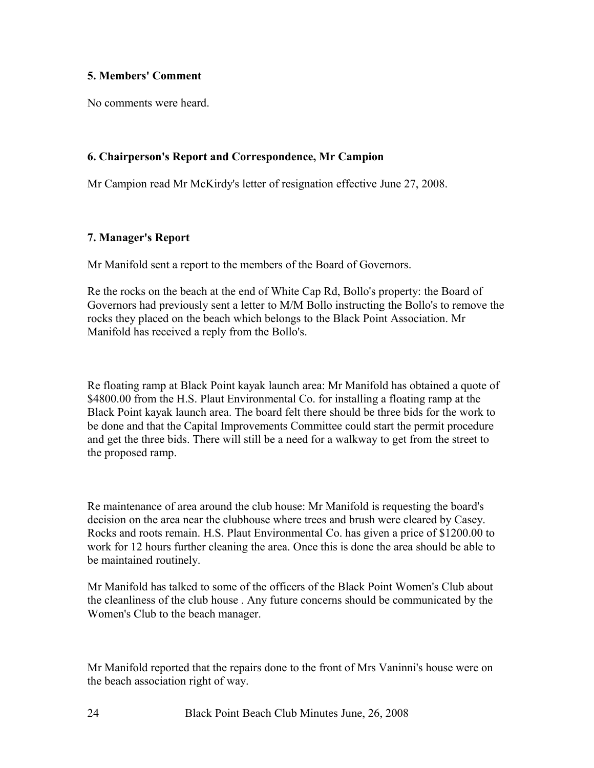#### **5. Members' Comment**

No comments were heard.

### **6. Chairperson's Report and Correspondence, Mr Campion**

Mr Campion read Mr McKirdy's letter of resignation effective June 27, 2008.

### **7. Manager's Report**

Mr Manifold sent a report to the members of the Board of Governors.

Re the rocks on the beach at the end of White Cap Rd, Bollo's property: the Board of Governors had previously sent a letter to M/M Bollo instructing the Bollo's to remove the rocks they placed on the beach which belongs to the Black Point Association. Mr Manifold has received a reply from the Bollo's.

Re floating ramp at Black Point kayak launch area: Mr Manifold has obtained a quote of \$4800.00 from the H.S. Plaut Environmental Co. for installing a floating ramp at the Black Point kayak launch area. The board felt there should be three bids for the work to be done and that the Capital Improvements Committee could start the permit procedure and get the three bids. There will still be a need for a walkway to get from the street to the proposed ramp.

Re maintenance of area around the club house: Mr Manifold is requesting the board's decision on the area near the clubhouse where trees and brush were cleared by Casey. Rocks and roots remain. H.S. Plaut Environmental Co. has given a price of \$1200.00 to work for 12 hours further cleaning the area. Once this is done the area should be able to be maintained routinely.

Mr Manifold has talked to some of the officers of the Black Point Women's Club about the cleanliness of the club house . Any future concerns should be communicated by the Women's Club to the beach manager.

Mr Manifold reported that the repairs done to the front of Mrs Vaninni's house were on the beach association right of way.

24 Black Point Beach Club Minutes June, 26, 2008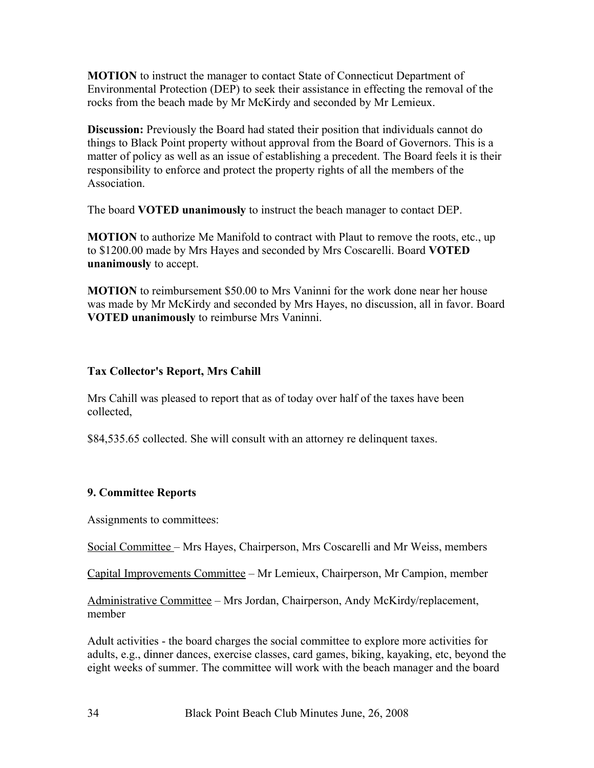**MOTION** to instruct the manager to contact State of Connecticut Department of Environmental Protection (DEP) to seek their assistance in effecting the removal of the rocks from the beach made by Mr McKirdy and seconded by Mr Lemieux.

**Discussion:** Previously the Board had stated their position that individuals cannot do things to Black Point property without approval from the Board of Governors. This is a matter of policy as well as an issue of establishing a precedent. The Board feels it is their responsibility to enforce and protect the property rights of all the members of the **Association** 

The board **VOTED unanimously** to instruct the beach manager to contact DEP.

**MOTION** to authorize Me Manifold to contract with Plaut to remove the roots, etc., up to \$1200.00 made by Mrs Hayes and seconded by Mrs Coscarelli. Board **VOTED unanimously** to accept.

**MOTION** to reimbursement \$50.00 to Mrs Vaninni for the work done near her house was made by Mr McKirdy and seconded by Mrs Hayes, no discussion, all in favor. Board **VOTED unanimously** to reimburse Mrs Vaninni.

## **Tax Collector's Report, Mrs Cahill**

Mrs Cahill was pleased to report that as of today over half of the taxes have been collected,

\$84,535.65 collected. She will consult with an attorney re delinquent taxes.

## **9. Committee Reports**

Assignments to committees:

Social Committee – Mrs Hayes, Chairperson, Mrs Coscarelli and Mr Weiss, members

Capital Improvements Committee – Mr Lemieux, Chairperson, Mr Campion, member

Administrative Committee – Mrs Jordan, Chairperson, Andy McKirdy/replacement, member

Adult activities - the board charges the social committee to explore more activities for adults, e.g., dinner dances, exercise classes, card games, biking, kayaking, etc, beyond the eight weeks of summer. The committee will work with the beach manager and the board